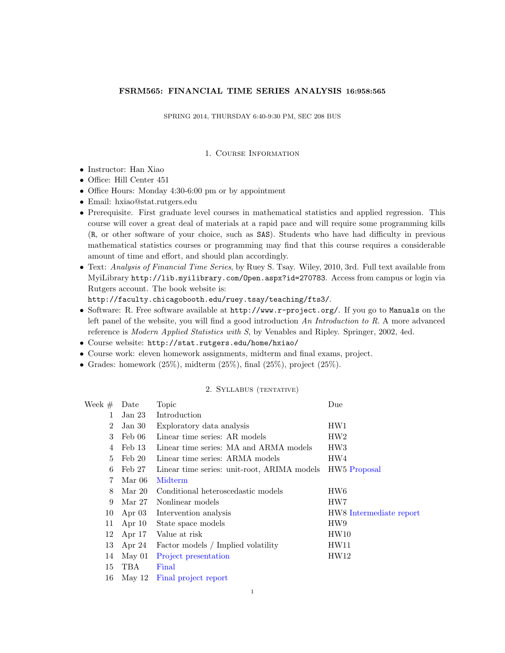# FSRM565: FINANCIAL TIME SERIES ANALYSIS 16:958:565

SPRING 2014, THURSDAY 6:40-9:30 PM, SEC 208 BUS

## 1. Course Information

- Instructor: Han Xiao
- Office: Hill Center 451
- Office Hours: Monday 4:30-6:00 pm or by appointment
- Email: hxiao@stat.rutgers.edu
- Prerequisite. First graduate level courses in mathematical statistics and applied regression. This course will cover a great deal of materials at a rapid pace and will require some programming kills (R, or other software of your choice, such as SAS). Students who have had difficulty in previous mathematical statistics courses or programming may find that this course requires a considerable amount of time and effort, and should plan accordingly.
- Text: Analysis of Financial Time Series, by Ruey S. Tsay. Wiley, 2010, 3rd. Full text available from MyiLibrary http://lib.myilibrary.com/Open.aspx?id=270783. Access from campus or login via Rutgers account. The book website is:

http://faculty.chicagobooth.edu/ruey.tsay/teaching/fts3/.

- Software: R. Free software available at http://www.r-project.org/. If you go to Manuals on the left panel of the website, you will find a good introduction An Introduction to R. A more advanced reference is Modern Applied Statistics with S, by Venables and Ripley. Springer, 2002, 4ed.
- Course website: http://stat.rutgers.edu/home/hxiao/
- Course work: eleven homework assignments, midterm and final exams, project.
- Grades: homework  $(25\%)$ , midterm  $(25\%)$ , final  $(25\%)$ , project  $(25\%)$ .

### 2. Syllabus (tentative)

| Week $#$       | Date              | Topic                                       | Due                      |
|----------------|-------------------|---------------------------------------------|--------------------------|
| 1              | Jan <sub>23</sub> | Introduction                                |                          |
| $\overline{2}$ | Jan 30            | Exploratory data analysis                   | HW1                      |
| 3              | Feb 06            | Linear time series: AR models               | HW2                      |
| 4              | Feb 13            | Linear time series: MA and ARMA models      | HW <sub>3</sub>          |
| $\frac{5}{2}$  | $\text{Feb } 20$  | Linear time series: ARMA models             | HW4                      |
| 6              | Feb 27            | Linear time series: unit-root, ARIMA models | HW <sub>5</sub> Proposal |
| 7              | Mar 06            | Midterm                                     |                          |
| 8              | Mar 20            | Conditional heteroscedastic models          | HW <sub>6</sub>          |
| 9              | Mar 27            | Nonlinear models                            | HW7                      |
| 10             | Apr $03$          | Intervention analysis                       | HW8 Intermediate report  |
| 11             | Apr $10$          | State space models                          | HW9                      |
| 12             | Apr $17$          | Value at risk                               | HW10                     |
| 13             | Apr $24$          | Factor models / Implied volatility          | HW11                     |
| 14             | $\text{May }01$   | Project presentation                        | HW12                     |
| 15             | TBA               | Final                                       |                          |
| 16             | May 12            | Final project report                        |                          |